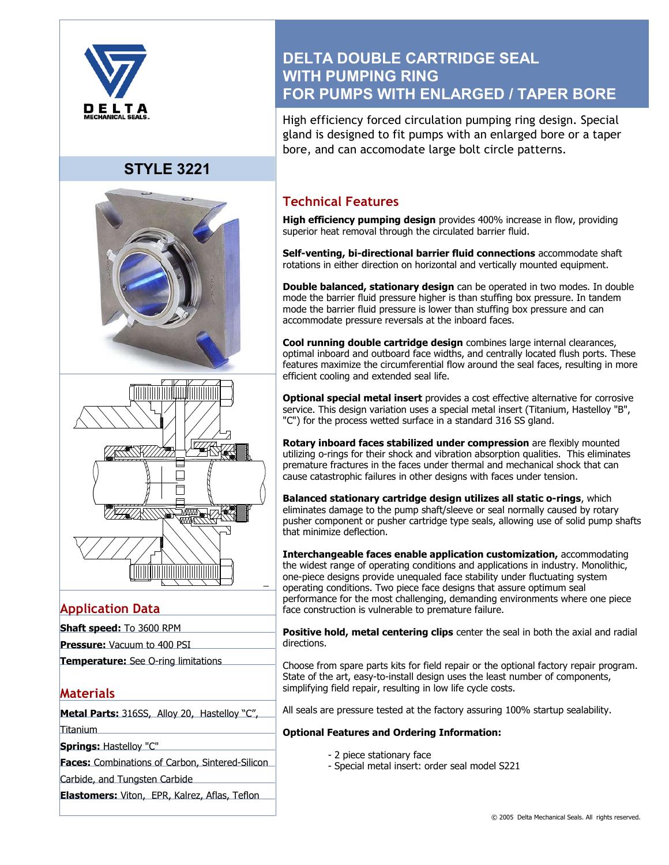

# **STYLE 3221**





## **Application Data**

- **Shaft speed:** To 3600 RPM
- **Pressure:** Vacuum to 400 PSI
- **Temperature:** See O-ring limitations

## **Materials**

**Metal Parts:** 316SS, Alloy 20, Hastelloy "C", Titanium

**Springs:** Hastelloy "C"

**Faces:** Combinations of Carbon, Sintered-Silicon

Carbide, and Tungsten Carbide

**Elastomers:** Viton, EPR, Kalrez, Aflas, Teflon

# **DELTA DOUBLE CARTRIDGE SEAL WITH PUMPING RING FOR PUMPS WITH ENLARGED / TAPER BORE**

High efficiency forced circulation pumping ring design. Special gland is designed to fit pumps with an enlarged bore or a taper bore, and can accomodate large bolt circle patterns.

## **Technical Features**

**High efficiency pumping design** provides 400% increase in flow, providing superior heat removal through the circulated barrier fluid.

**Self-venting, bi-directional barrier fluid connections** accommodate shaft rotations in either direction on horizontal and vertically mounted equipment.

**Double balanced, stationary design** can be operated in two modes. In double mode the barrier fluid pressure higher is than stuffing box pressure. In tandem mode the barrier fluid pressure is lower than stuffing box pressure and can accommodate pressure reversals at the inboard faces.

**Cool running double cartridge design** combines large internal clearances, optimal inboard and outboard face widths, and centrally located flush ports. These features maximize the circumferential flow around the seal faces, resulting in more efficient cooling and extended seal life.

**Optional special metal insert** provides a cost effective alternative for corrosive service. This design variation uses a special metal insert (Titanium, Hastelloy "B", "C") for the process wetted surface in a standard 316 SS gland.

**Rotary inboard faces stabilized under compression** are flexibly mounted utilizing o-rings for their shock and vibration absorption qualities. This eliminates premature fractures in the faces under thermal and mechanical shock that can cause catastrophic failures in other designs with faces under tension.

**Balanced stationary cartridge design utilizes all static o-rings**, which eliminates damage to the pump shaft/sleeve or seal normally caused by rotary pusher component or pusher cartridge type seals, allowing use of solid pump shafts that minimize deflection.

**Interchangeable faces enable application customization,** accommodating the widest range of operating conditions and applications in industry. Monolithic, one-piece designs provide unequaled face stability under fluctuating system operating conditions. Two piece face designs that assure optimum seal performance for the most challenging, demanding environments where one piece face construction is vulnerable to premature failure.

**Positive hold, metal centering clips** center the seal in both the axial and radial directions.

Choose from spare parts kits for field repair or the optional factory repair program. State of the art, easy-to-install design uses the least number of components, simplifying field repair, resulting in low life cycle costs.

All seals are pressure tested at the factory assuring 100% startup sealability.

#### **Optional Features and Ordering Information:**

- 2 piece stationary face
- Special metal insert: order seal model S221